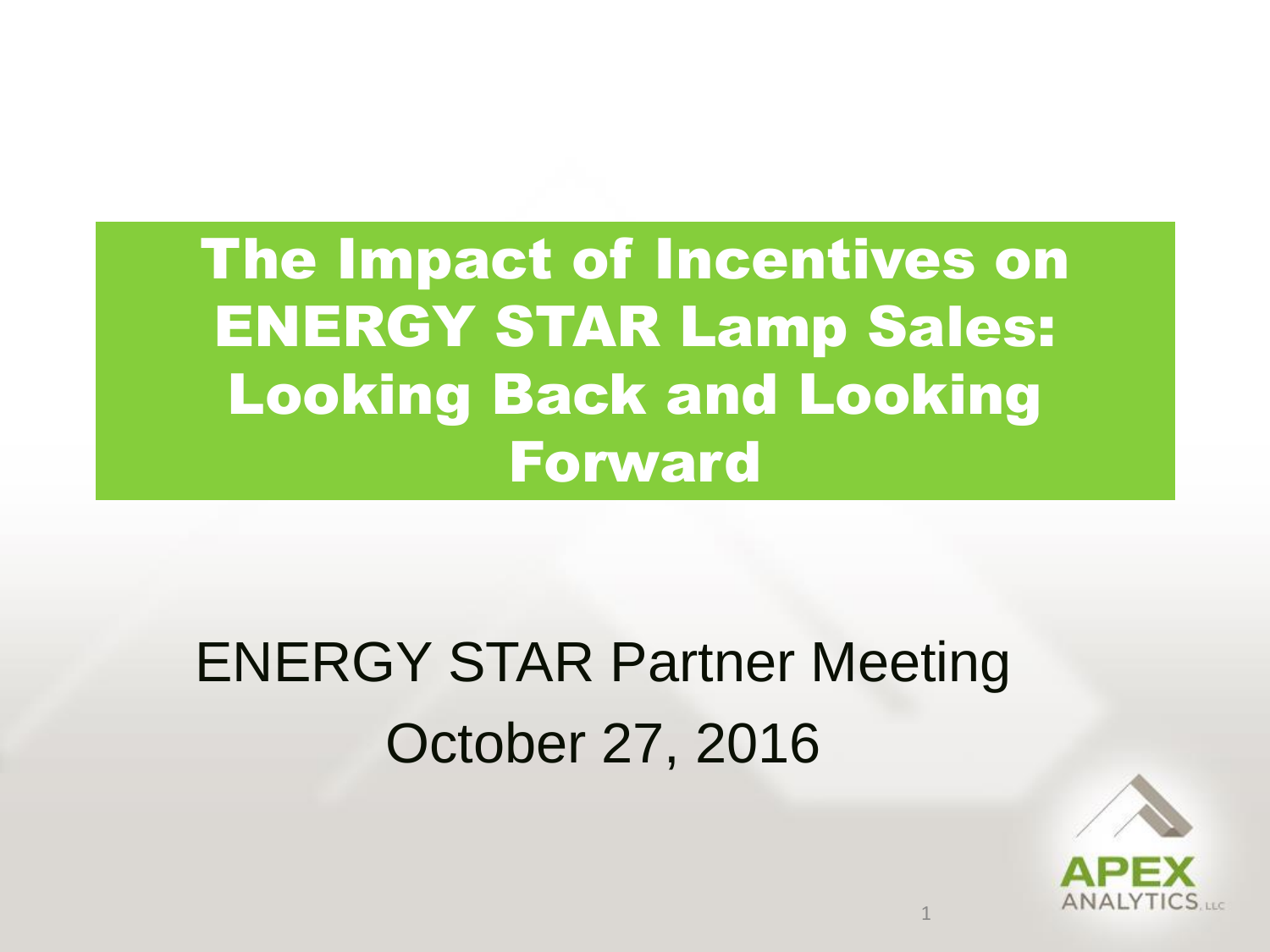The Impact of Incentives on ENERGY STAR Lamp Sales: Looking Back and Looking Forward

#### ENERGY STAR Partner Meeting October 27, 2016

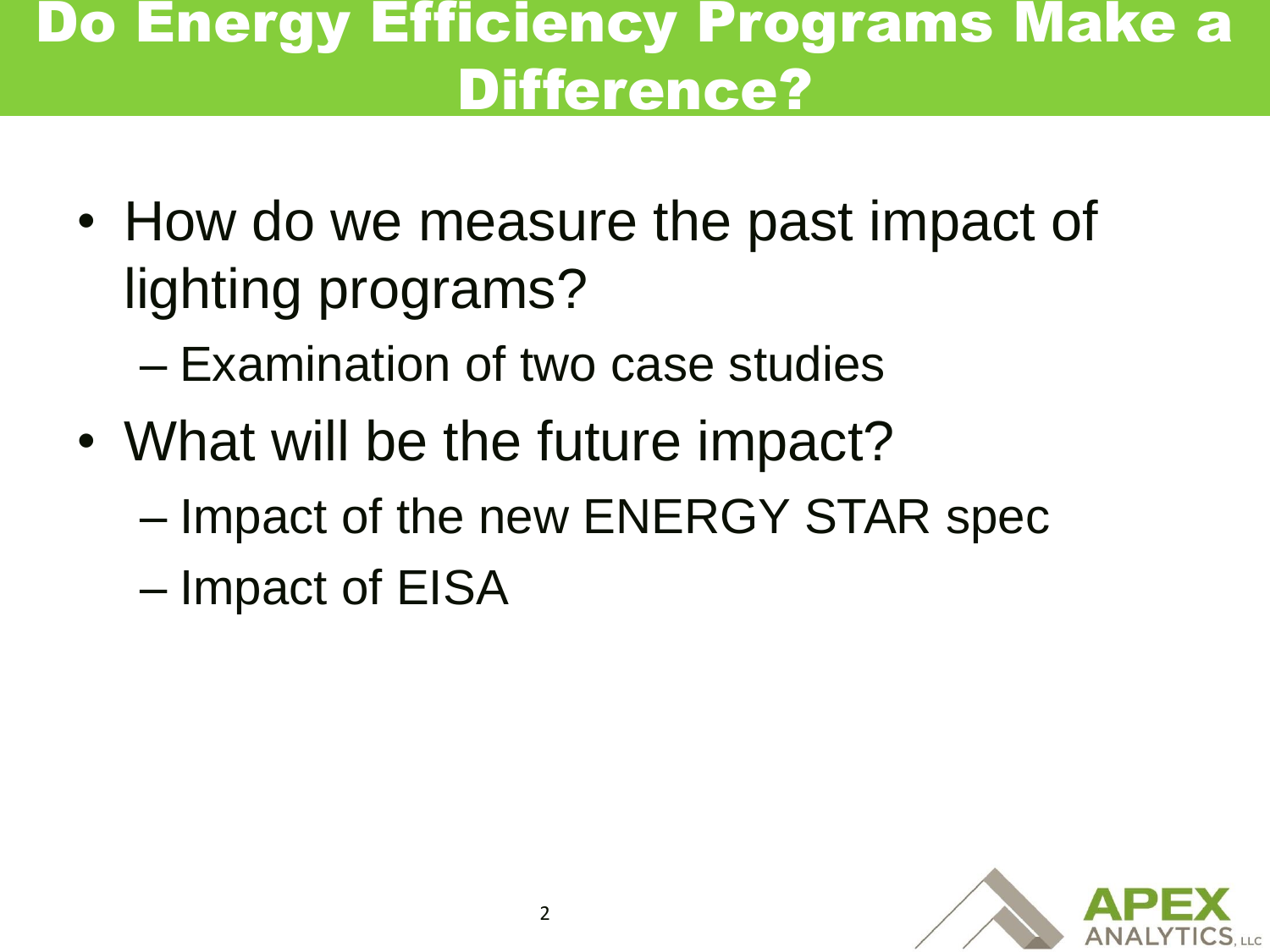#### Do Energy Efficiency Programs Make a Difference?

- How do we measure the past impact of lighting programs?
	- Examination of two case studies
- What will be the future impact?
	- Impact of the new ENERGY STAR spec
	- Impact of EISA

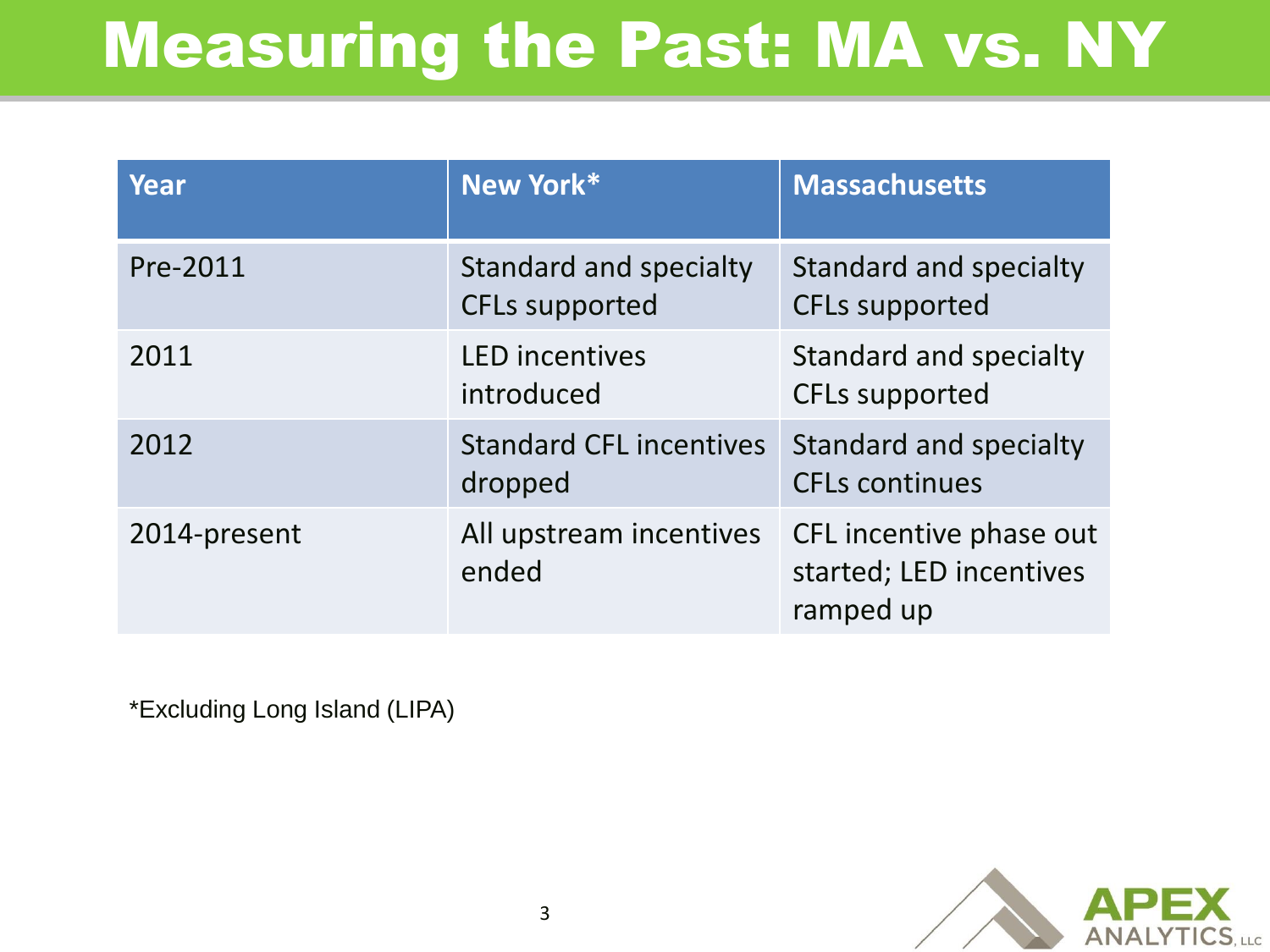#### Measuring the Past: MA vs. NY

| Year         | New York*                                       | <b>Massachusetts</b>                                            |
|--------------|-------------------------------------------------|-----------------------------------------------------------------|
| Pre-2011     | Standard and specialty<br><b>CFLs supported</b> | <b>Standard and specialty</b><br><b>CFLs supported</b>          |
| 2011         | <b>LED</b> incentives<br>introduced             | <b>Standard and specialty</b><br><b>CFLs supported</b>          |
| 2012         | <b>Standard CFL incentives</b><br>dropped       | Standard and specialty<br><b>CFLs continues</b>                 |
| 2014-present | All upstream incentives<br>ended                | CFL incentive phase out<br>started; LED incentives<br>ramped up |

\*Excluding Long Island (LIPA)

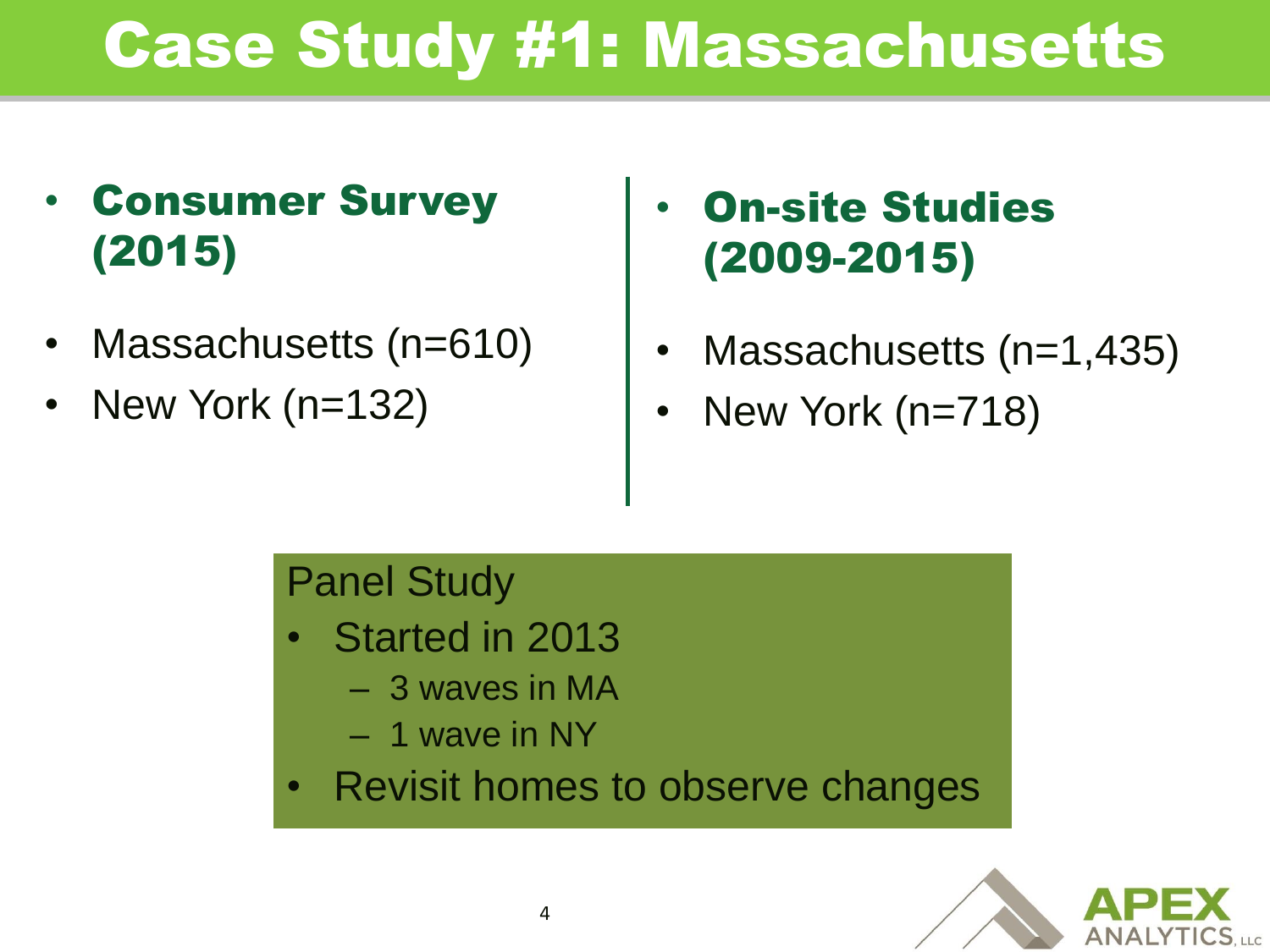#### • Consumer Survey (2015)

- Massachusetts (n=610)
- New York (n=132)

#### **On-site Studies** (2009-2015)

- Massachusetts (n=1,435)
- New York (n=718)

#### Panel Study

- Started in 2013
	- 3 waves in MA
	- 1 wave in NY
- Revisit homes to observe changes

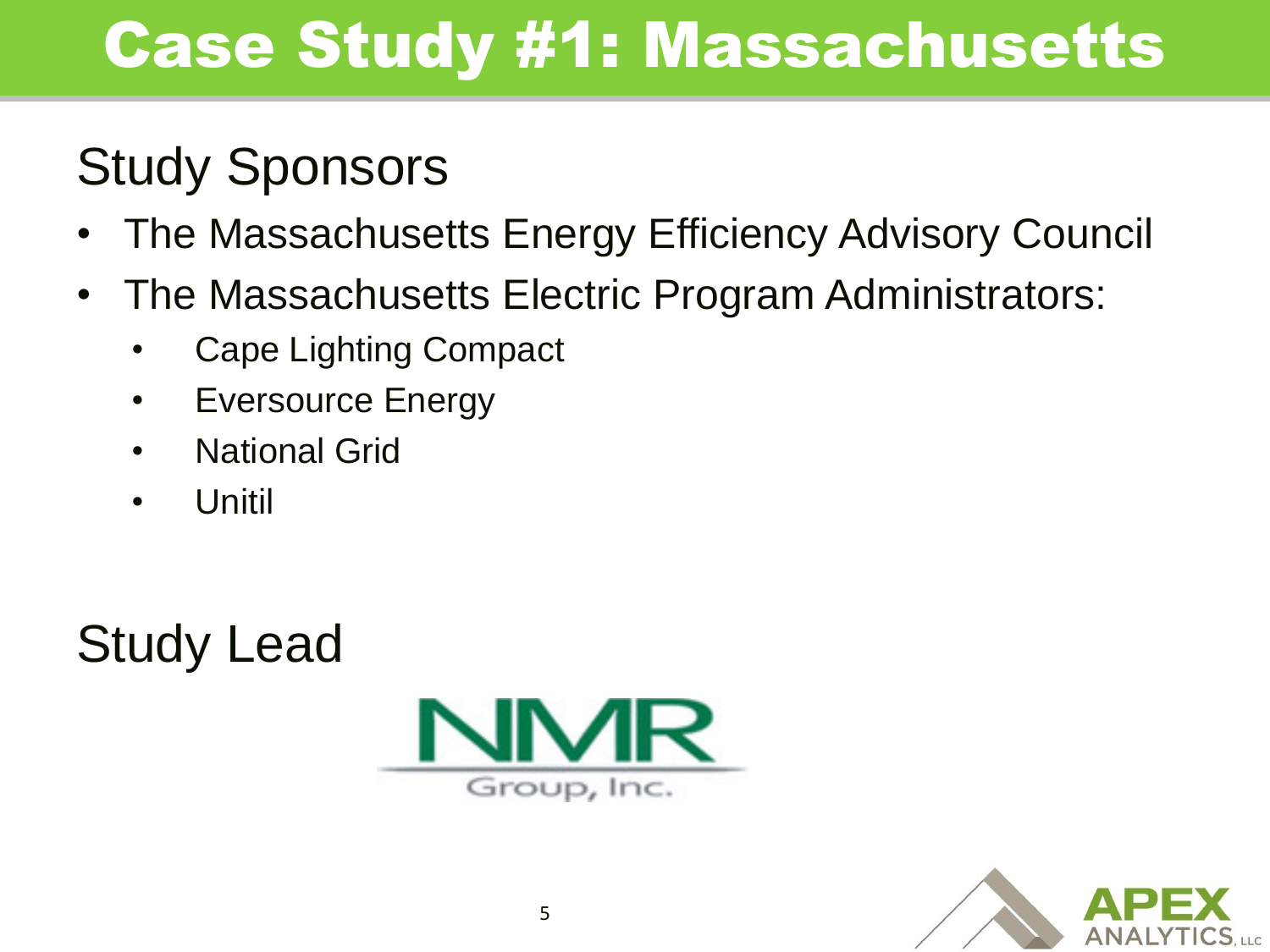#### Study Sponsors

- The Massachusetts Energy Efficiency Advisory Council
- The Massachusetts Electric Program Administrators:
	- Cape Lighting Compact
	- Eversource Energy
	- **National Grid**
	- Unitil

Study Lead



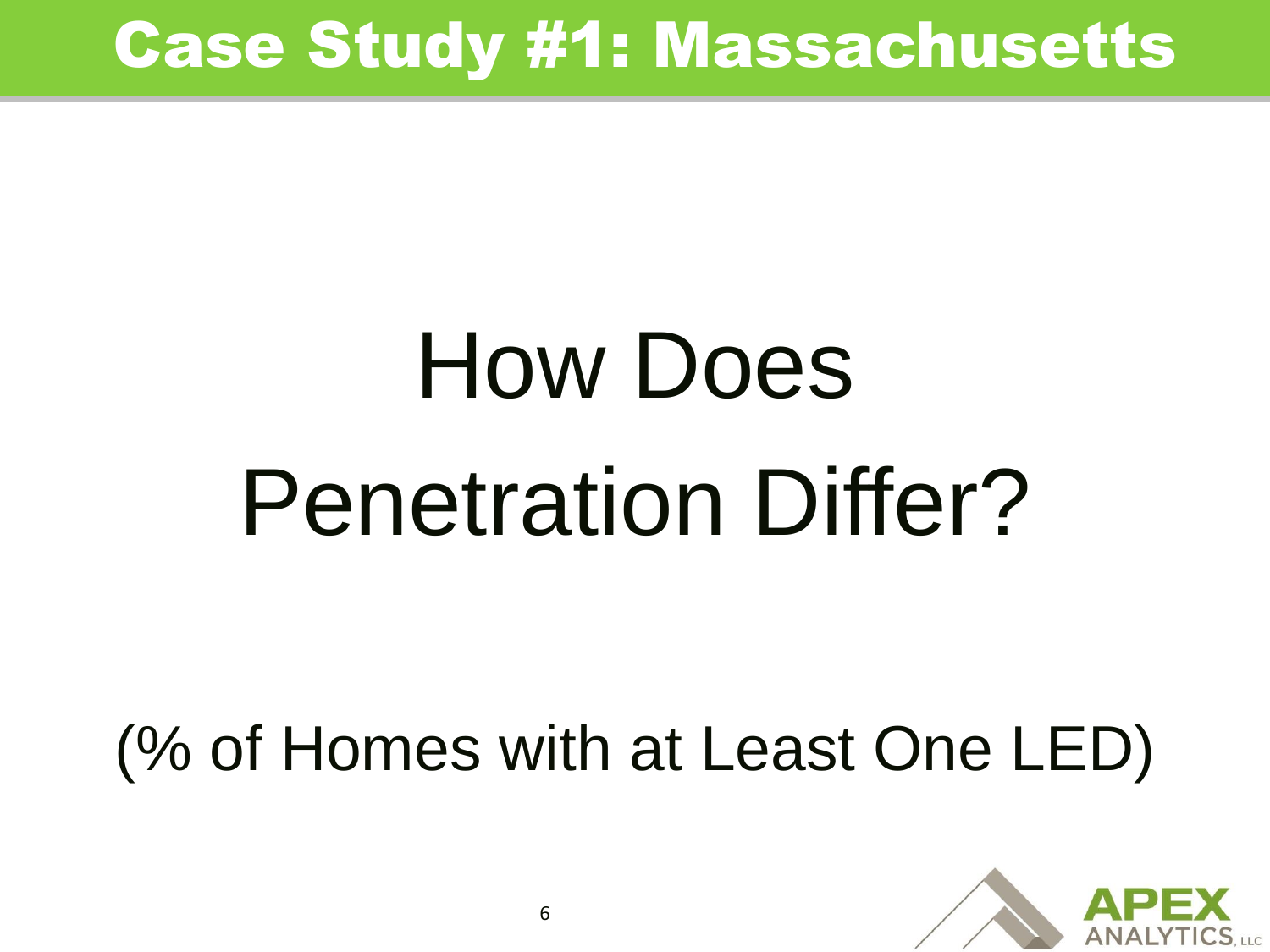# How Does Penetration Differ?

(% of Homes with at Least One LED)

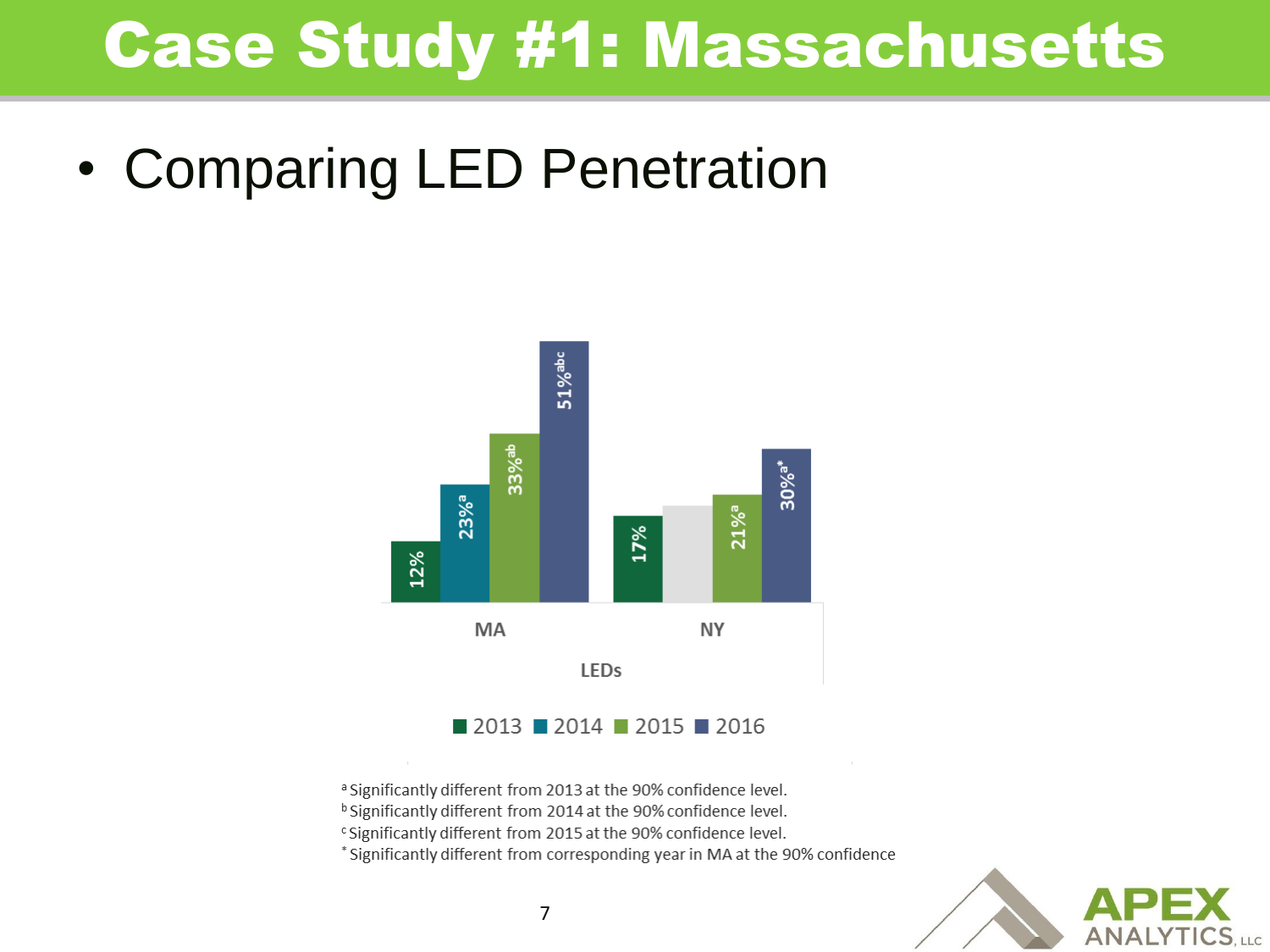• Comparing LED Penetration



- <sup>a</sup> Significantly different from 2013 at the 90% confidence level.
- <sup>b</sup> Significantly different from 2014 at the 90% confidence level.
- <sup>c</sup> Significantly different from 2015 at the 90% confidence level.

\* Significantly different from corresponding year in MA at the 90% confidence

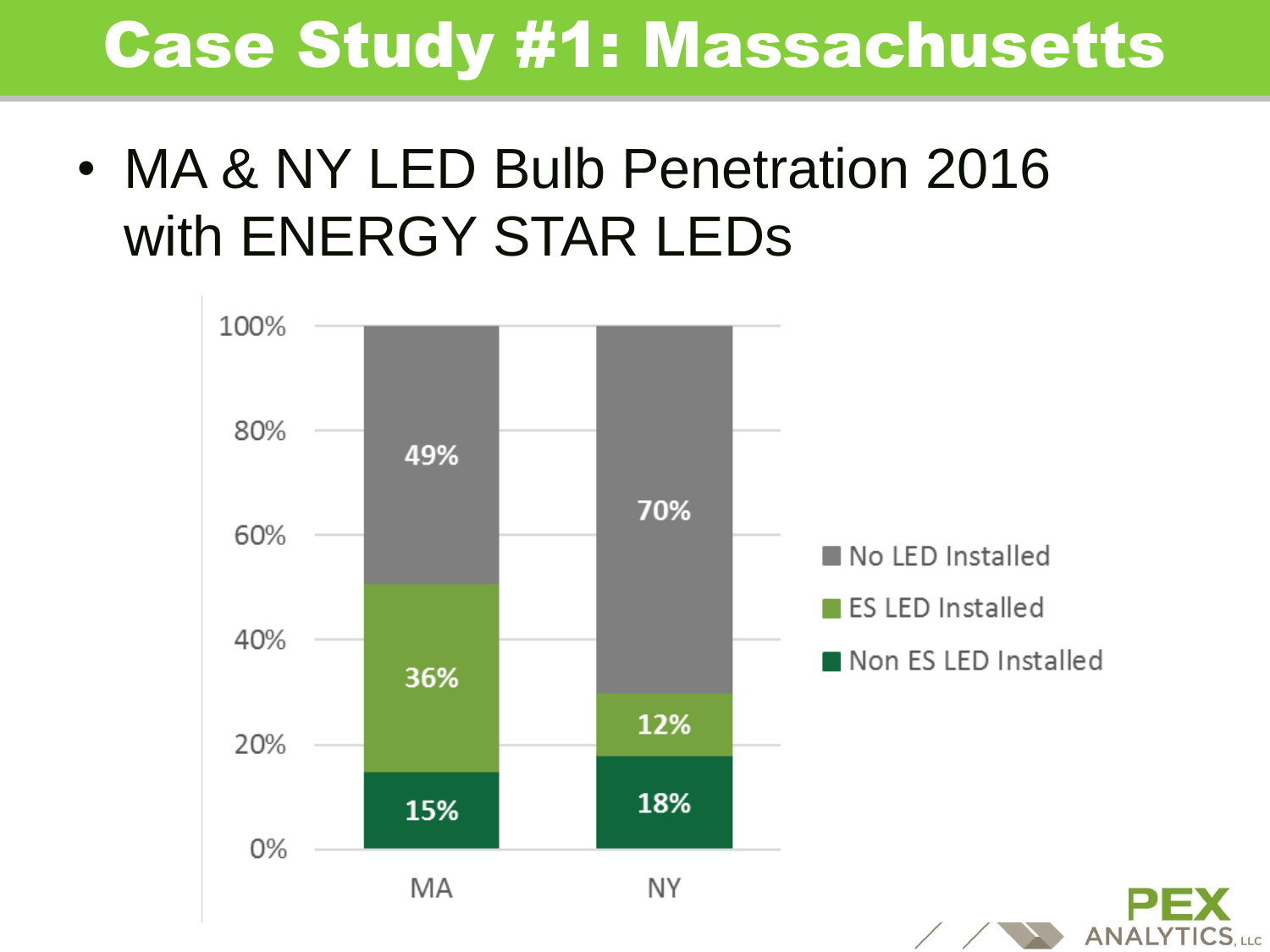• MA & NY LED Bulb Penetration 2016 with ENERGY STAR LEDs

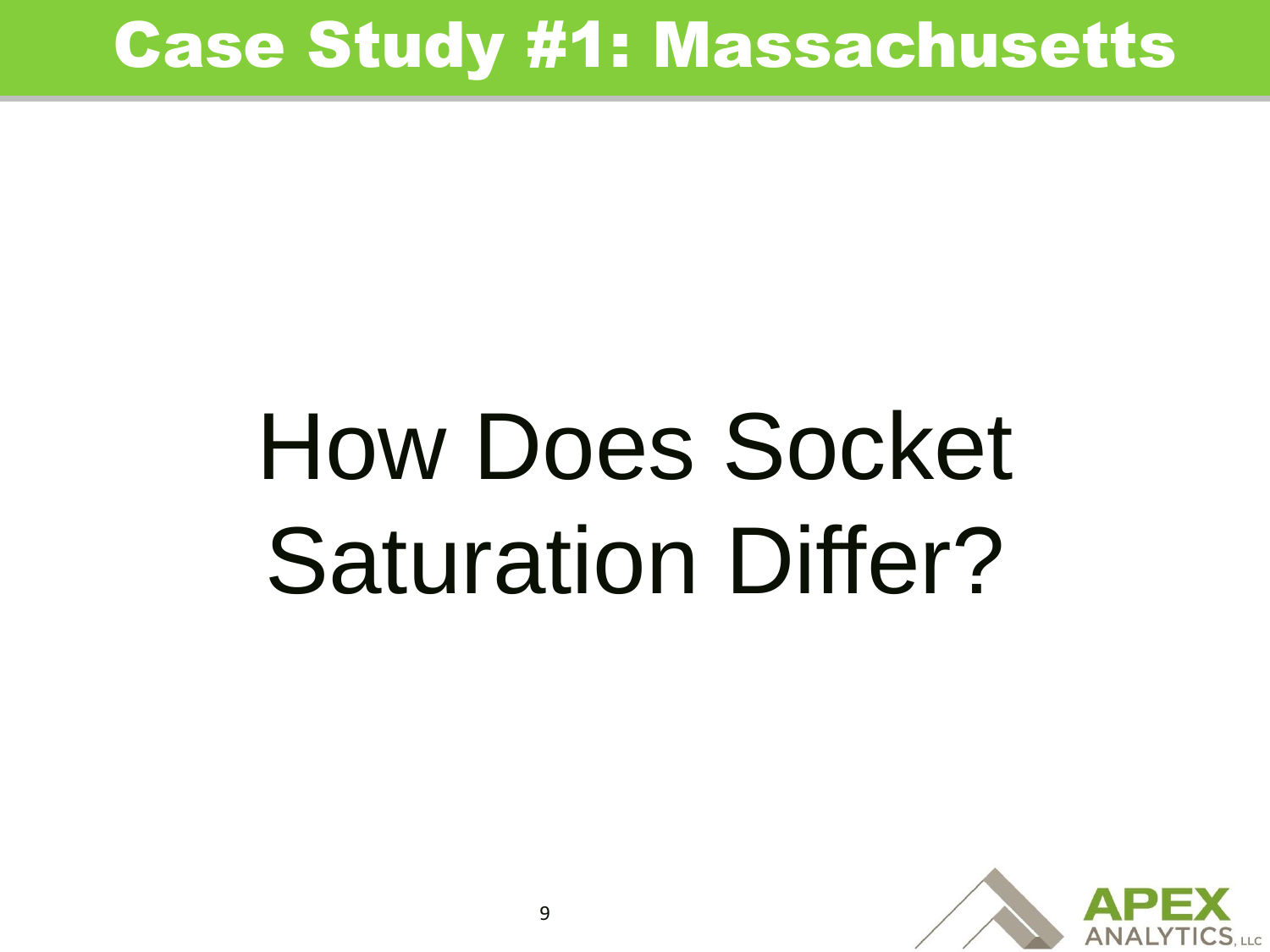## How Does Socket Saturation Differ?

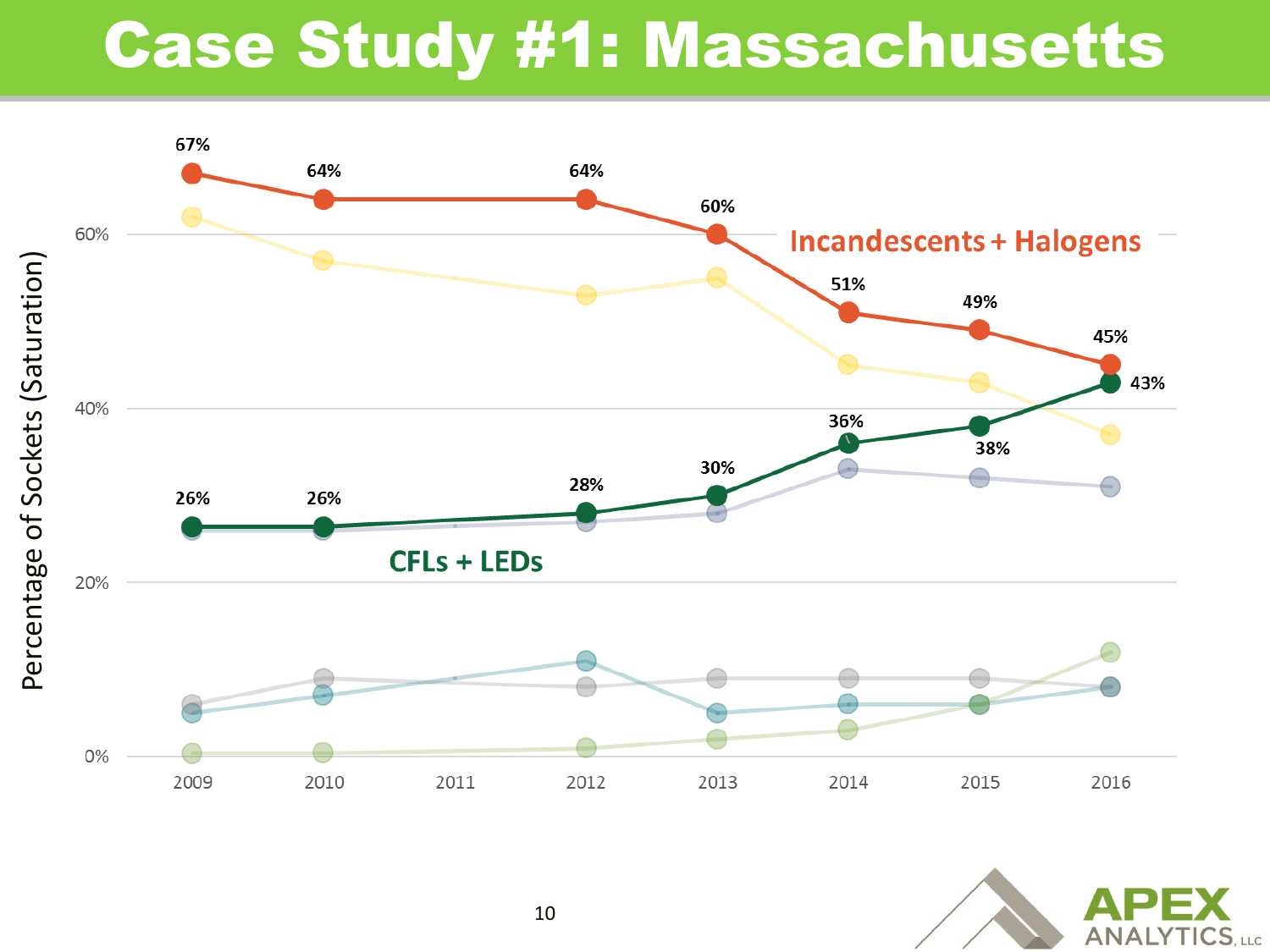

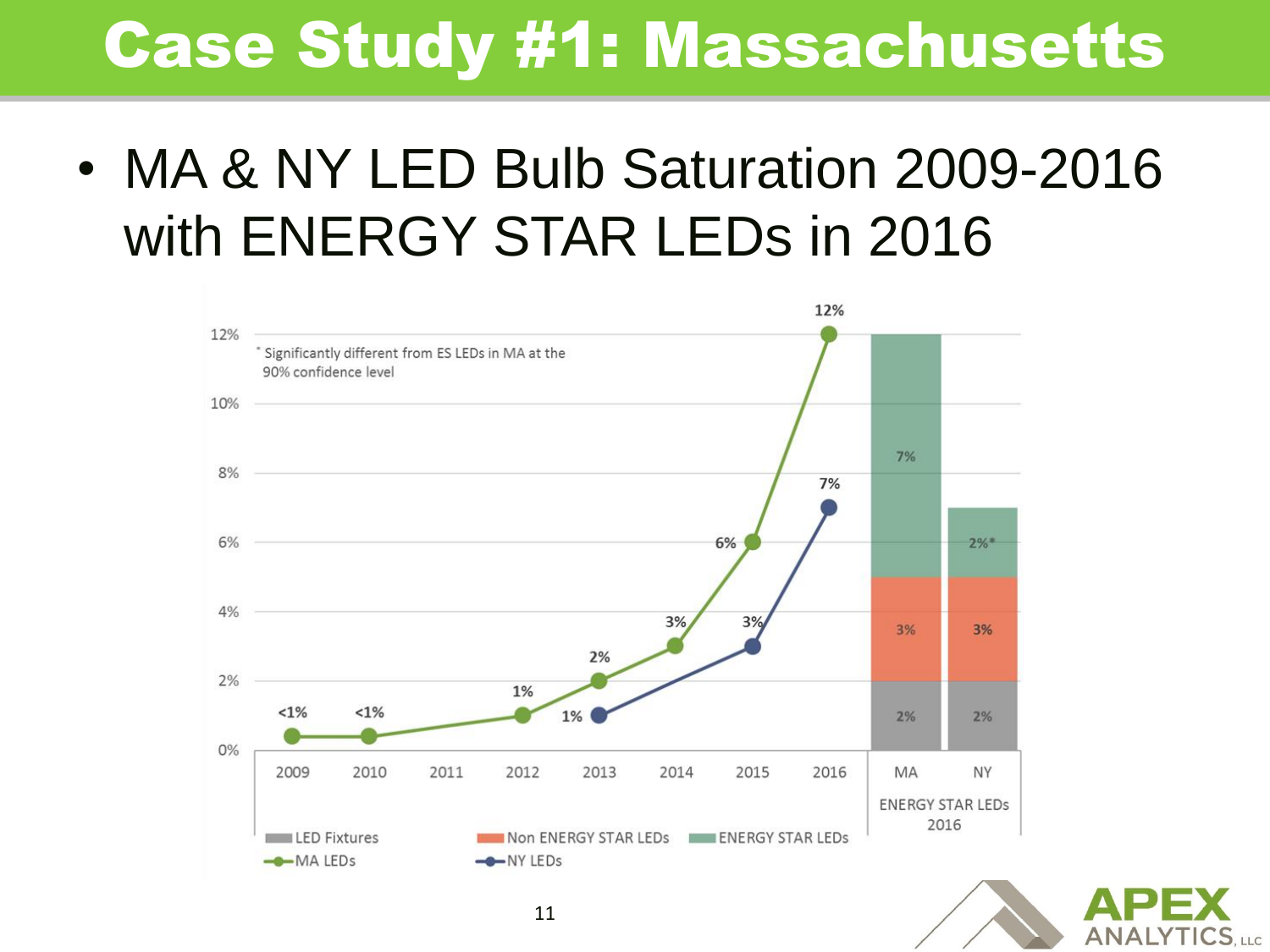• MA & NY LED Bulb Saturation 2009-2016 with ENERGY STAR LEDs in 2016



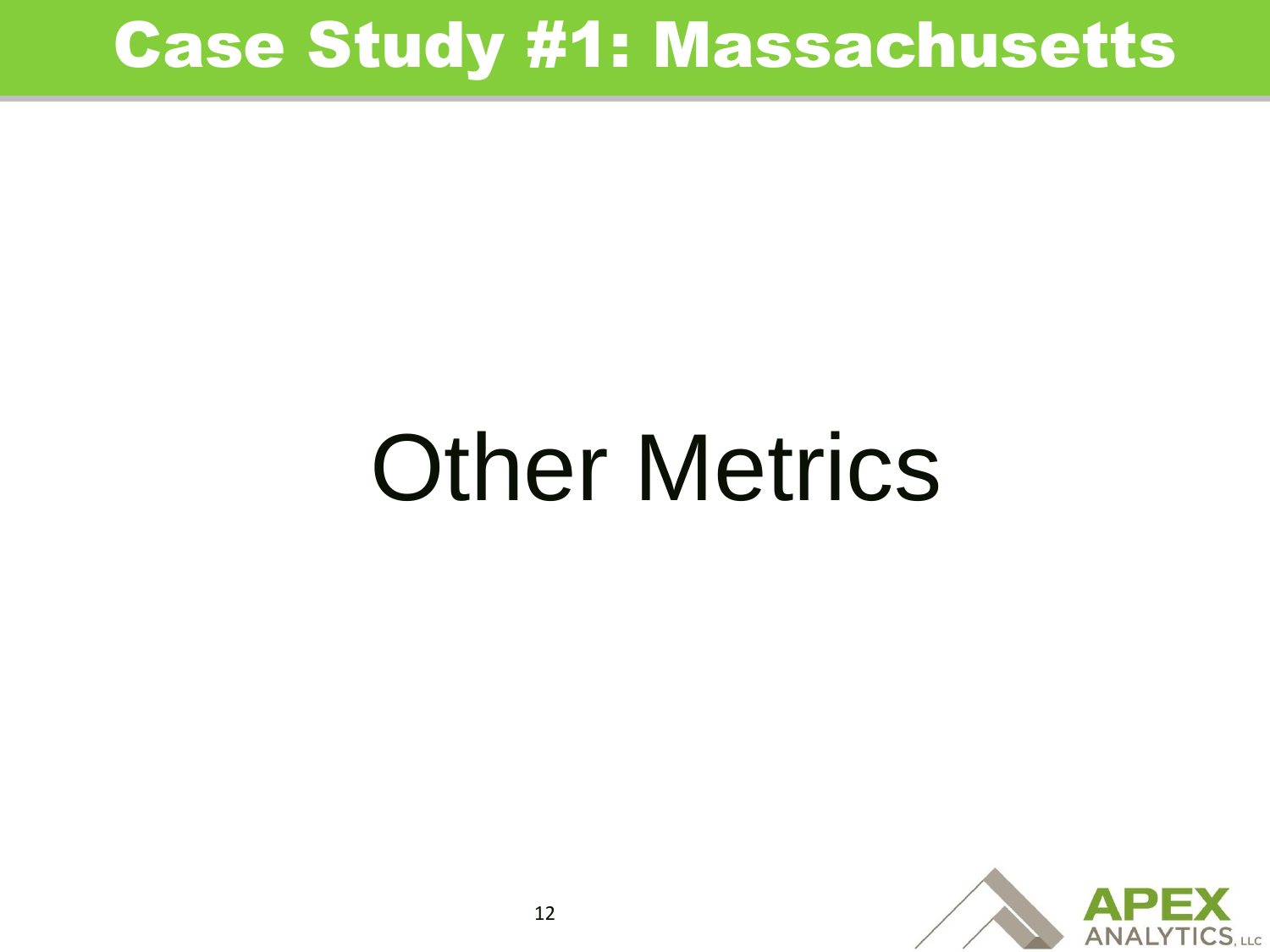## Other Metrics

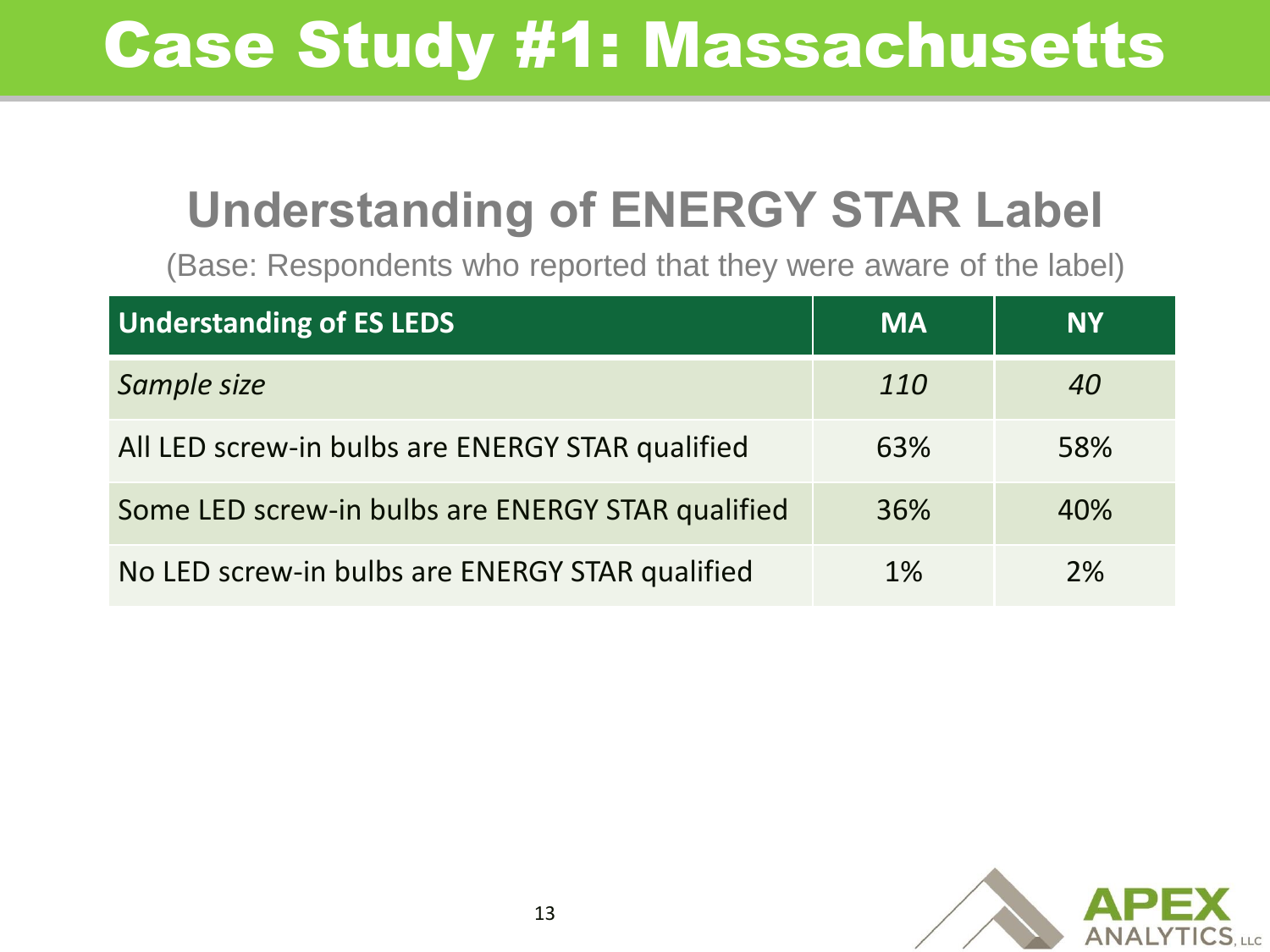#### **Understanding of ENERGY STAR Label**

(Base: Respondents who reported that they were aware of the label)

| <b>Understanding of ES LEDS</b>                   | <b>MA</b>  | <b>NY</b> |
|---------------------------------------------------|------------|-----------|
| Sample size                                       | <i>110</i> | 40        |
| All LED screw-in bulbs are ENERGY STAR qualified  | 63%        | 58%       |
| Some LED screw-in bulbs are ENERGY STAR qualified | 36%        | 40%       |
| No LED screw-in bulbs are ENERGY STAR qualified   | 1%         | 2%        |

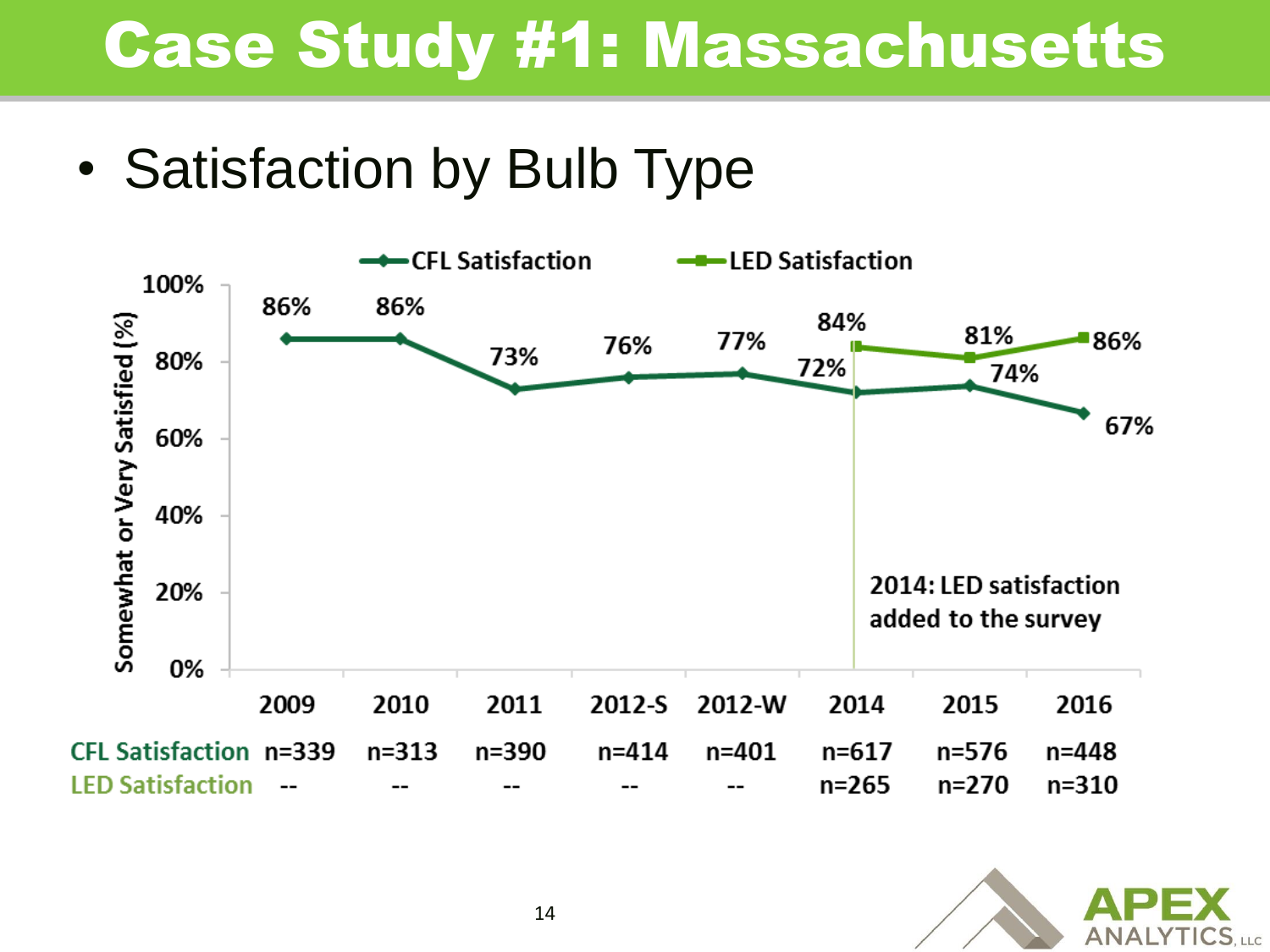• Satisfaction by Bulb Type



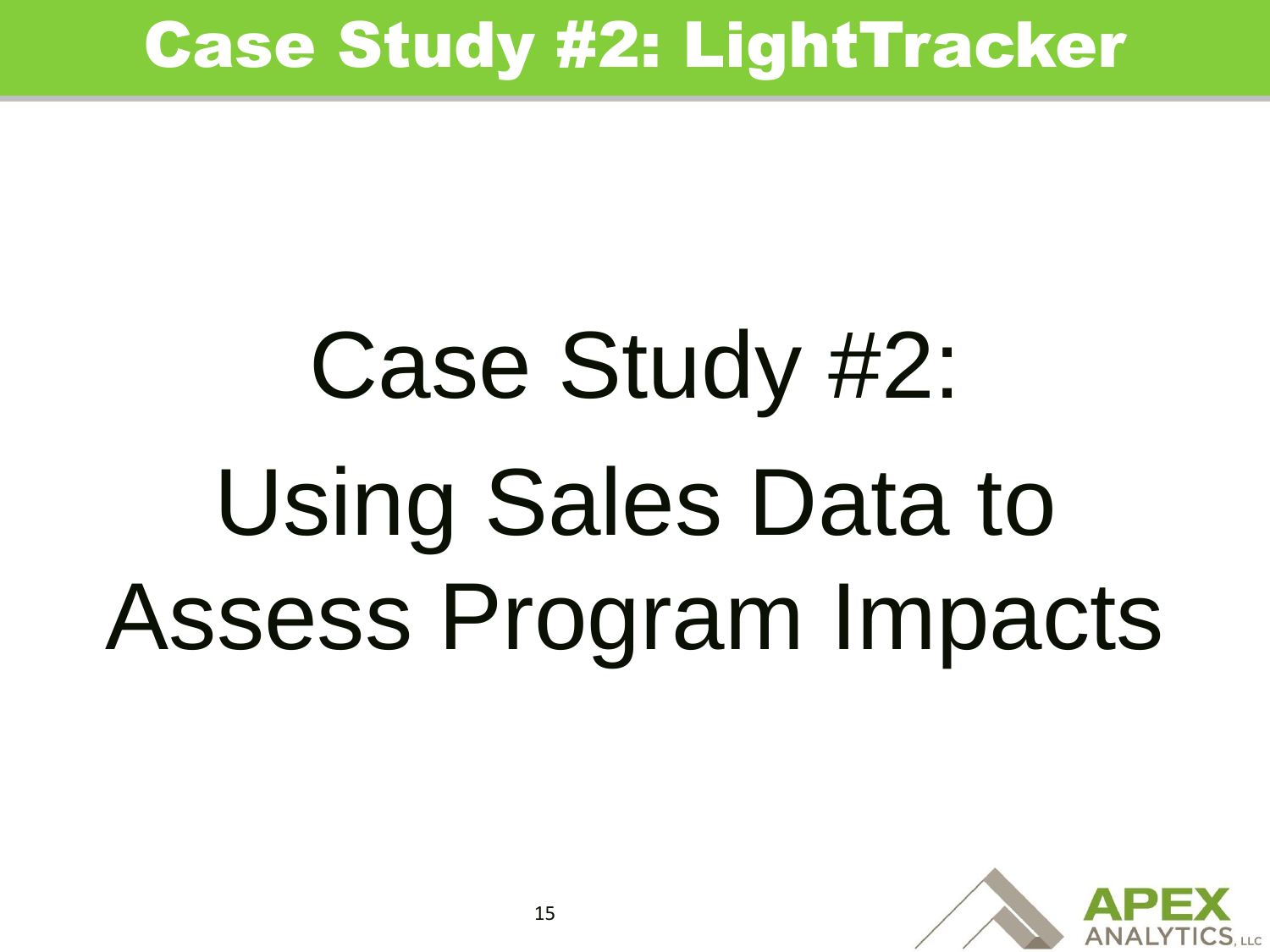# Case Study #2: Using Sales Data to Assess Program Impacts

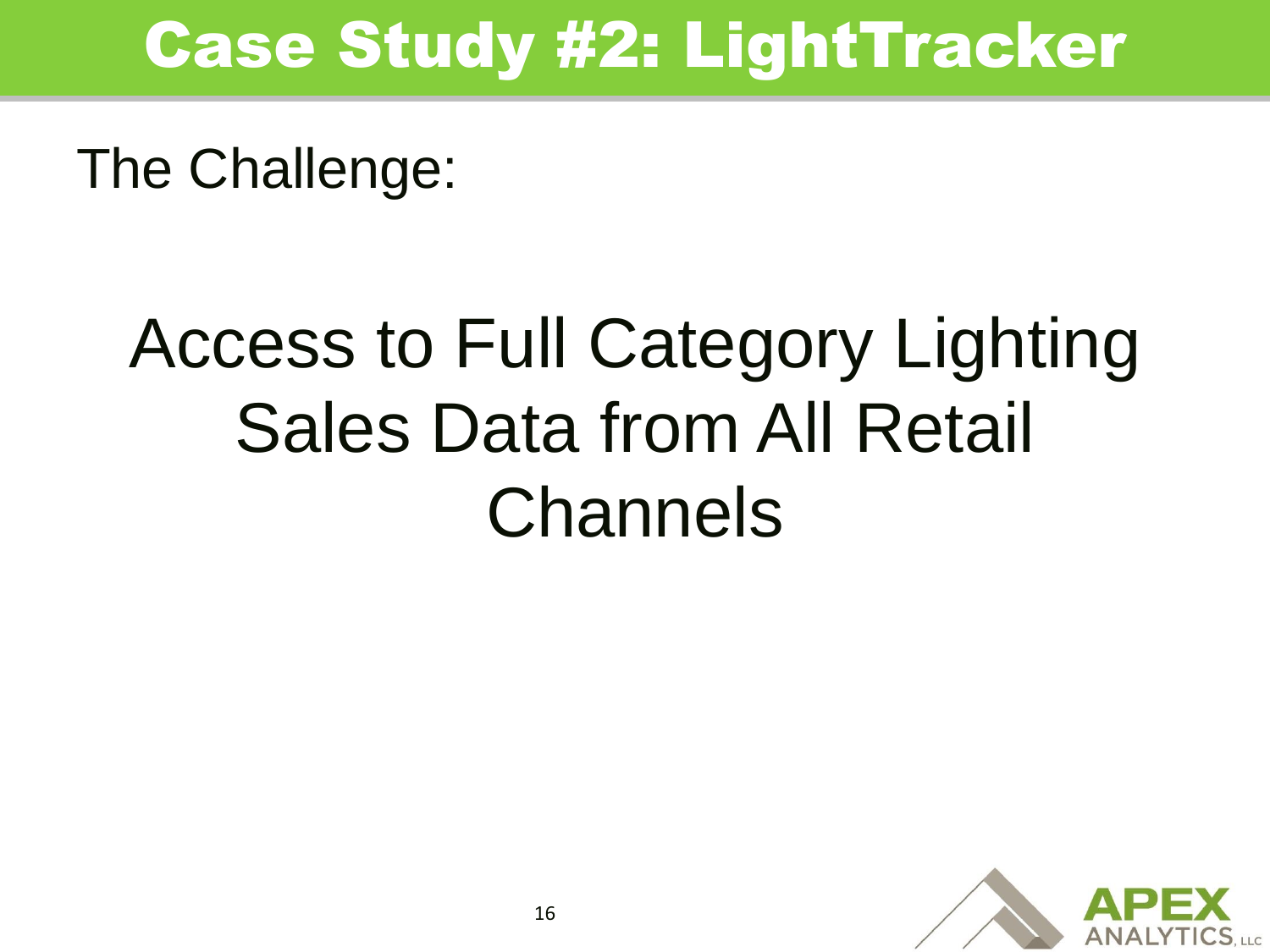The Challenge:

## Access to Full Category Lighting Sales Data from All Retail Channels

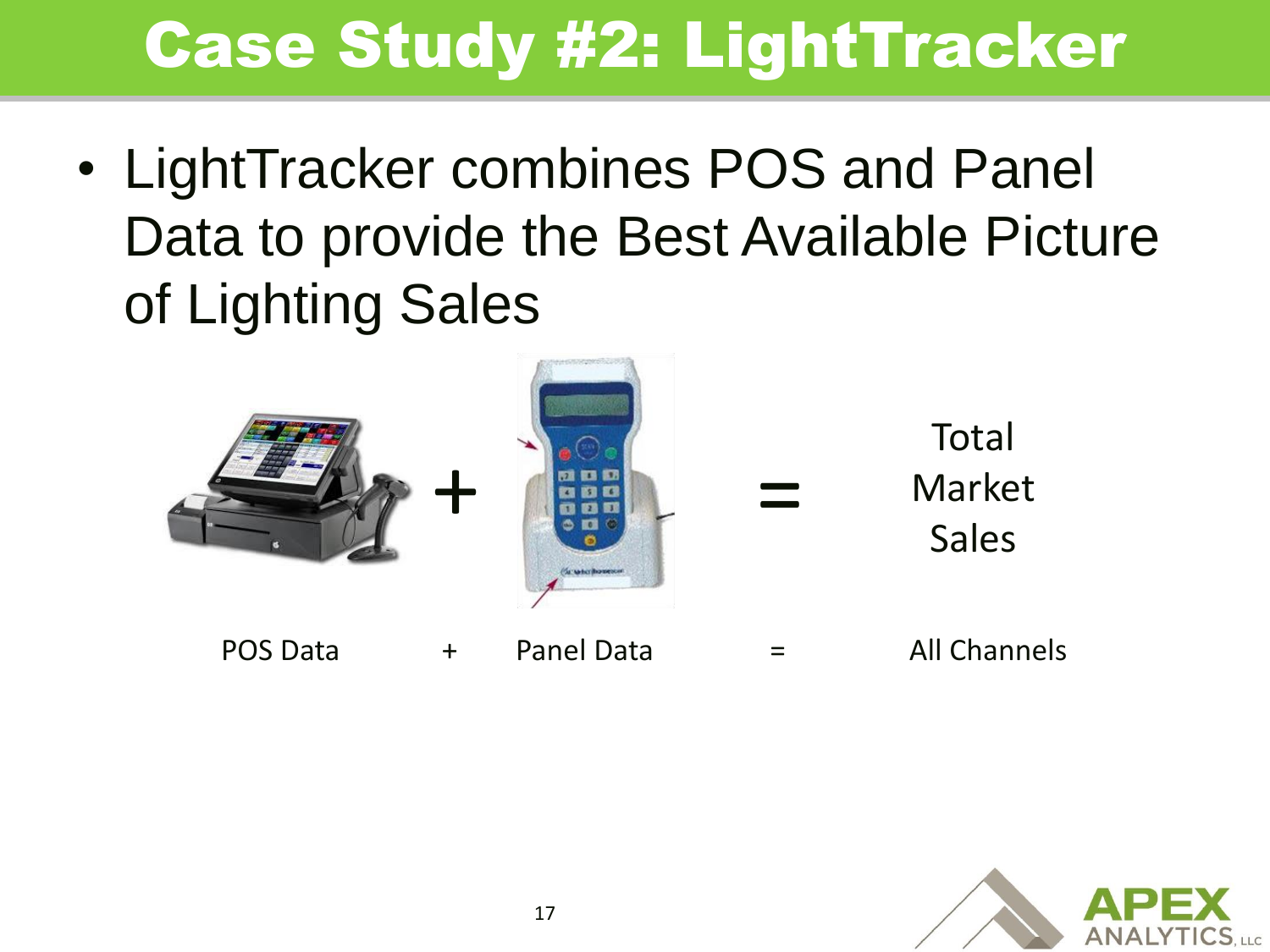• LightTracker combines POS and Panel Data to provide the Best Available Picture of Lighting Sales



POS Data + Panel Data = All Channels

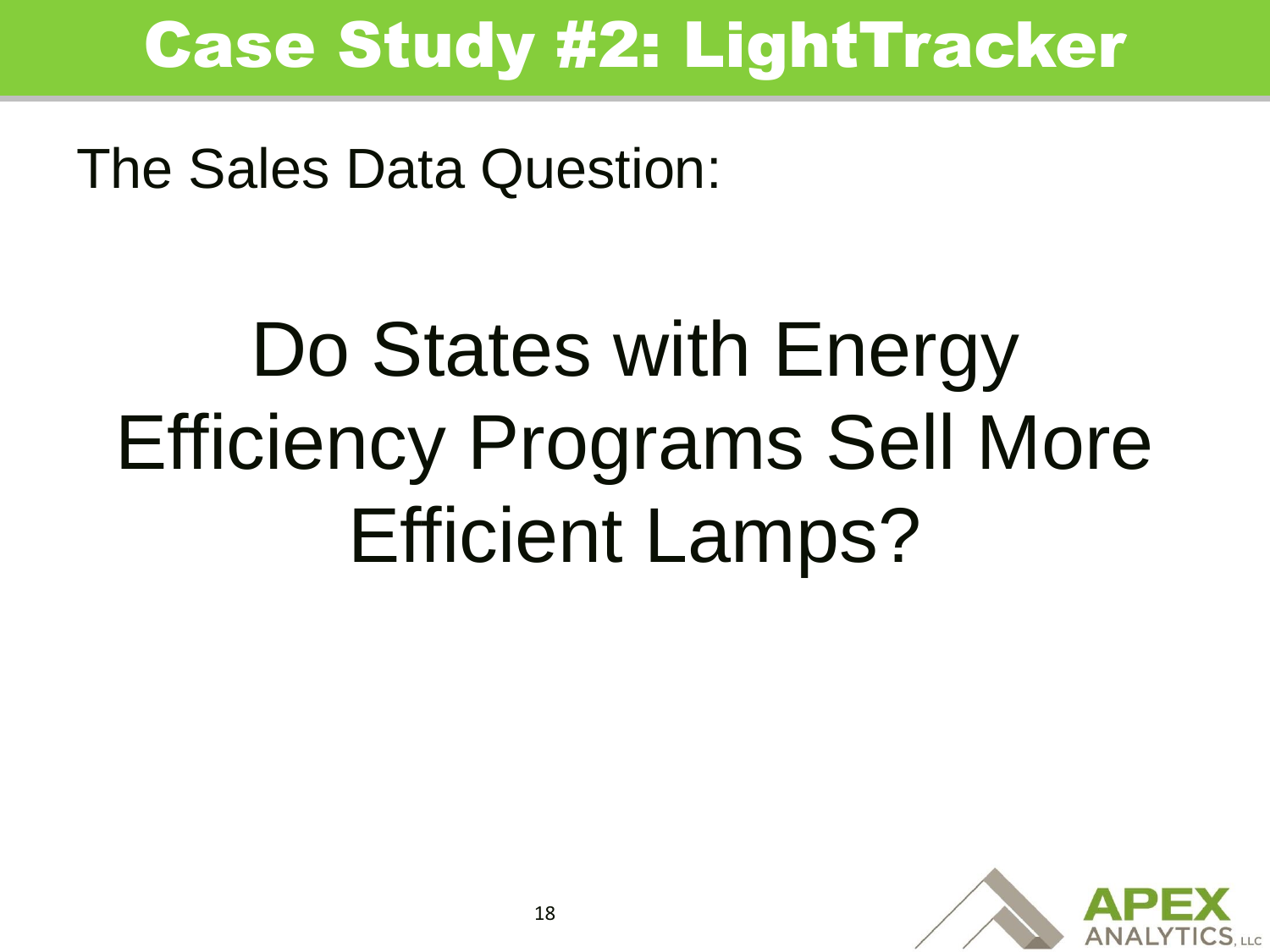The Sales Data Question:

## Do States with Energy Efficiency Programs Sell More Efficient Lamps?

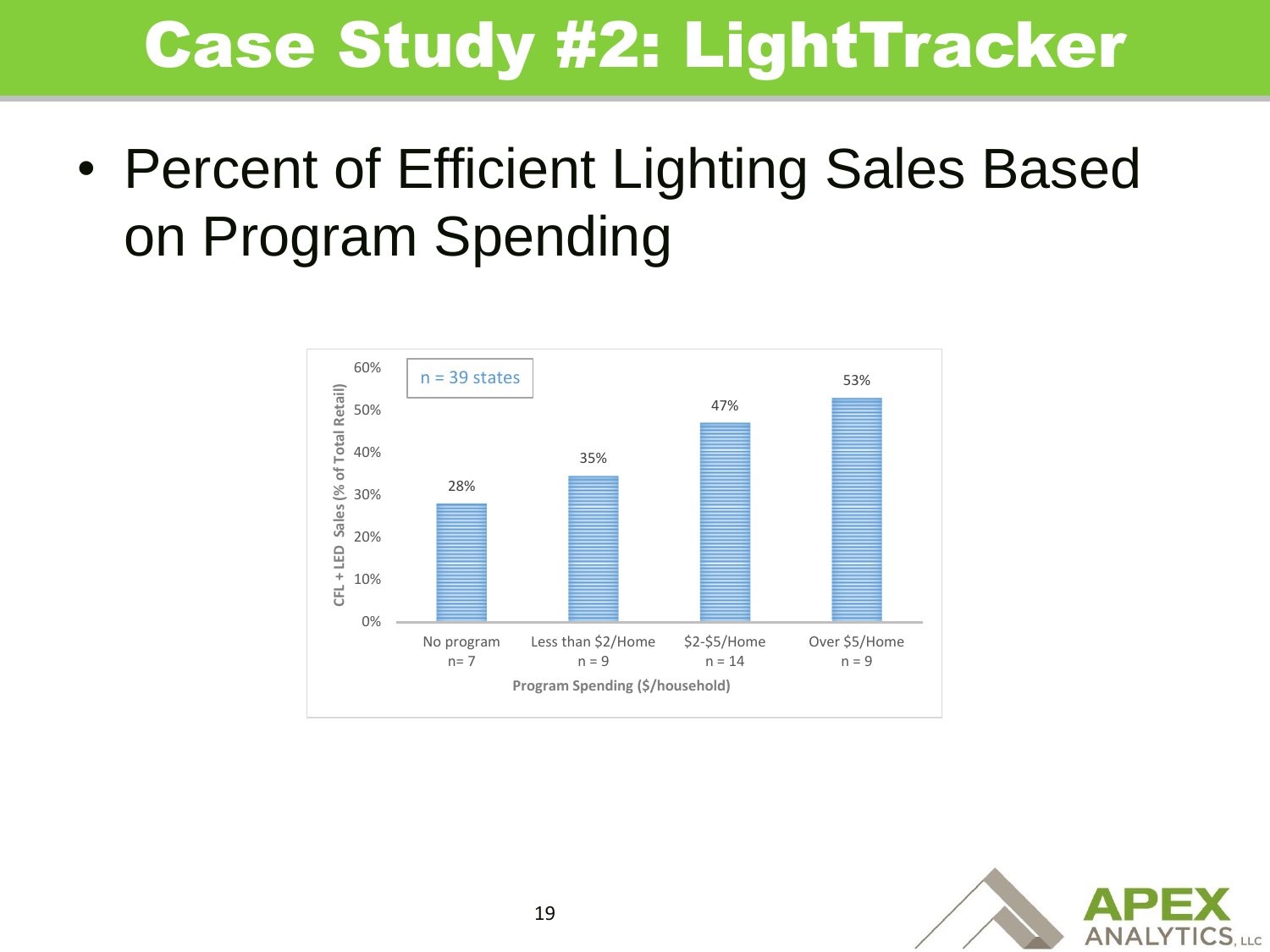• Percent of Efficient Lighting Sales Based on Program Spending



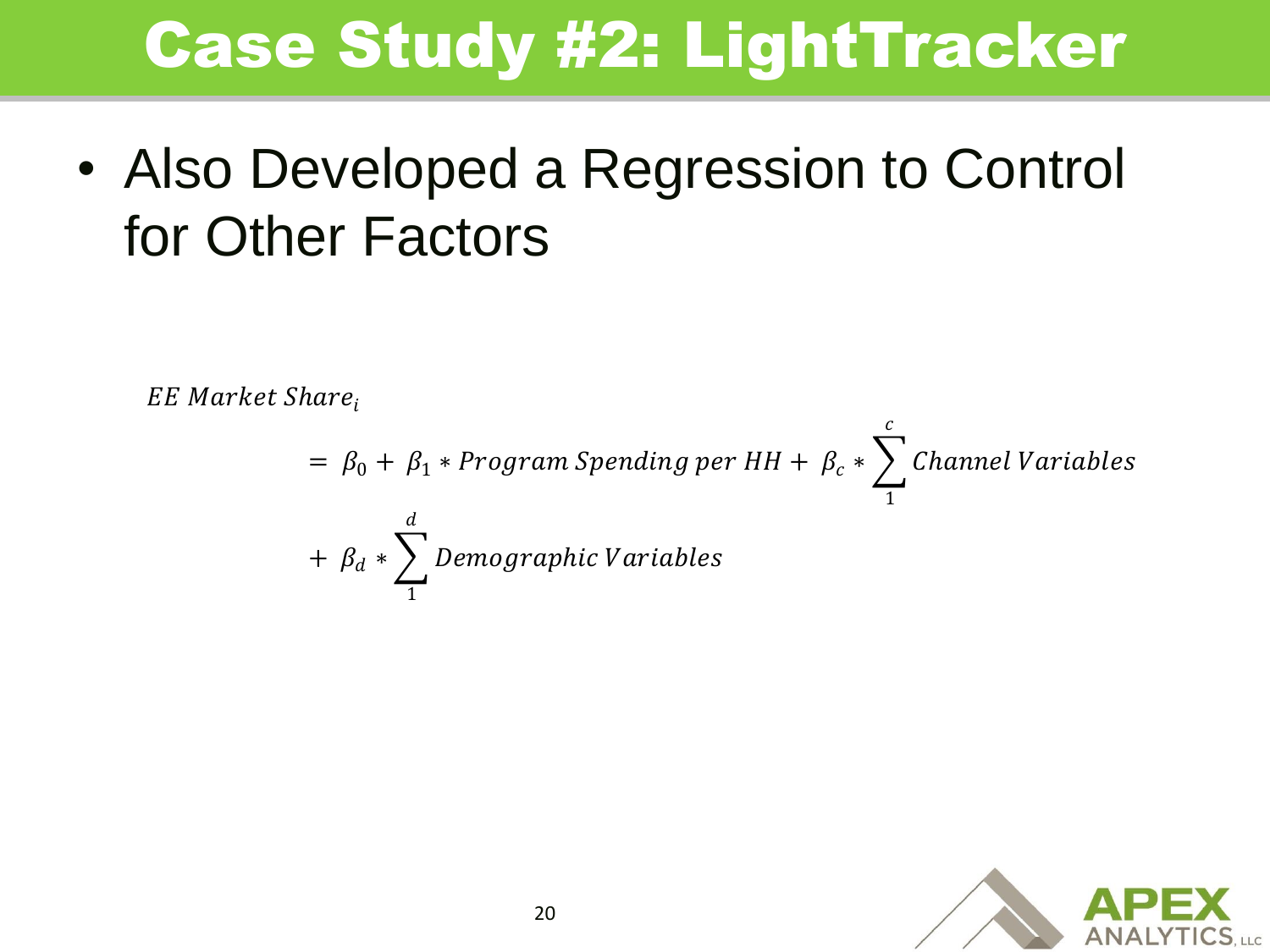• Also Developed a Regression to Control for Other Factors

EE Market Share,

 $\mu=\beta_0+\beta_1*Program$  Spending per HH  $+$   $\beta_c*$   $\sum$  Channel Variables  $\overline{c}$ 1  $+$   $\beta_d$   $*$   $\sum$  Demographic Variables  $\boldsymbol{d}$ 1

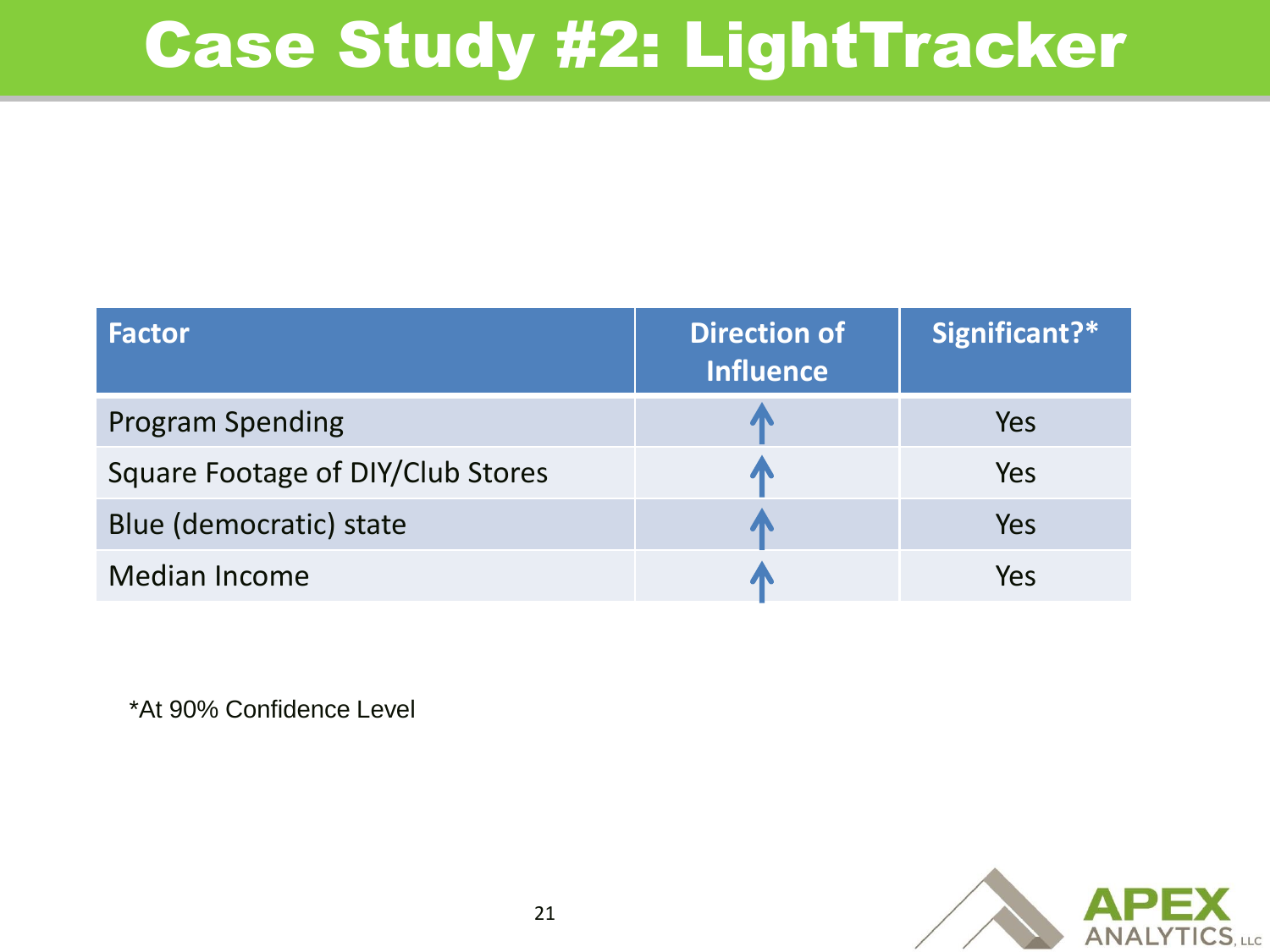| <b>Factor</b>                            | <b>Direction of</b><br><b>Influence</b> | Significant?* |
|------------------------------------------|-----------------------------------------|---------------|
| <b>Program Spending</b>                  |                                         | Yes           |
| <b>Square Footage of DIY/Club Stores</b> |                                         | Yes           |
| Blue (democratic) state                  |                                         | Yes           |
| <b>Median Income</b>                     |                                         | Yes           |

\*At 90% Confidence Level

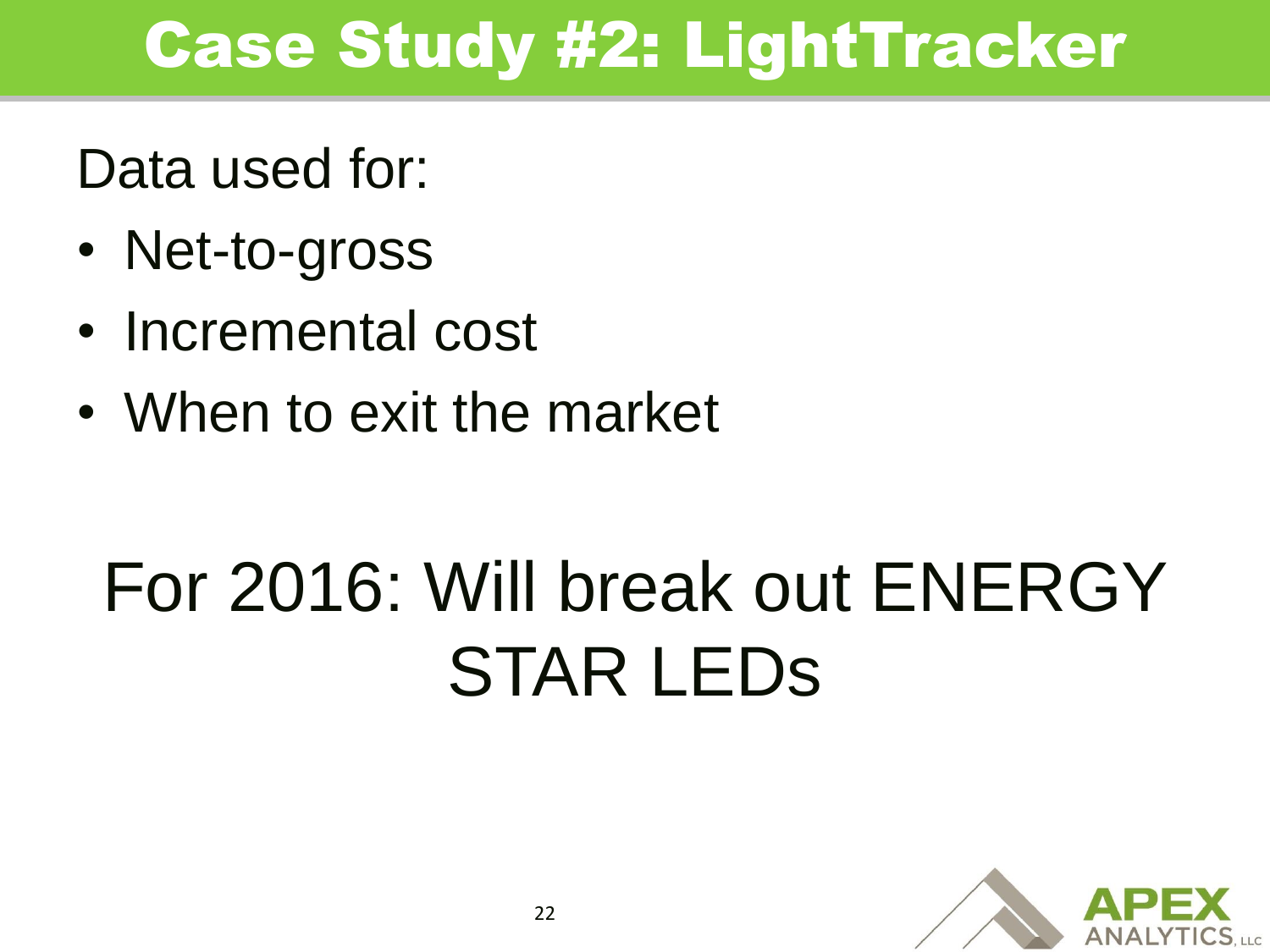Data used for:

- Net-to-gross
- Incremental cost
- When to exit the market

## For 2016: Will break out ENERGY STAR LEDs

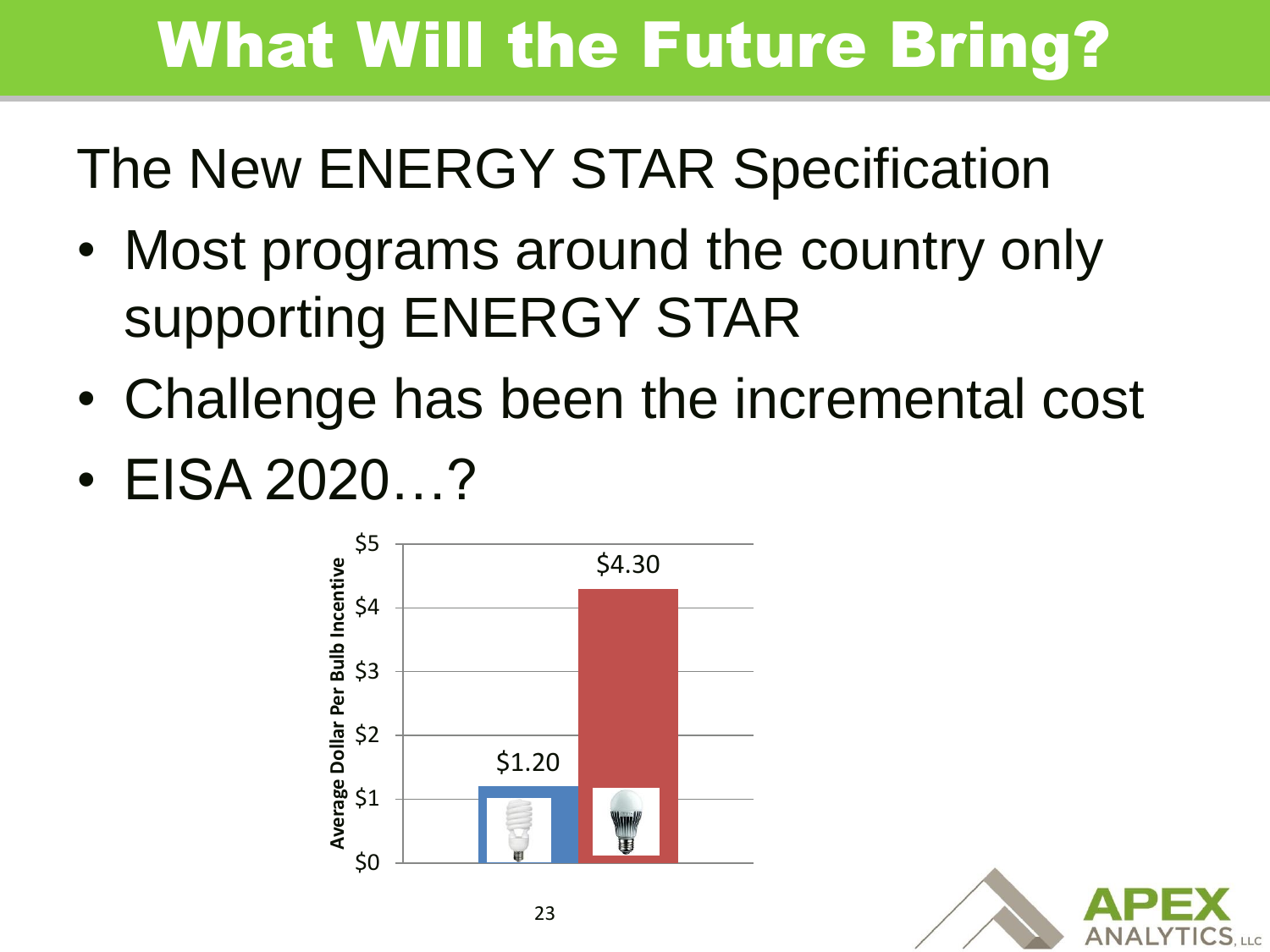### What Will the Future Bring?

#### The New ENERGY STAR Specification

- Most programs around the country only supporting ENERGY STAR
- Challenge has been the incremental cost
- EISA 2020…?



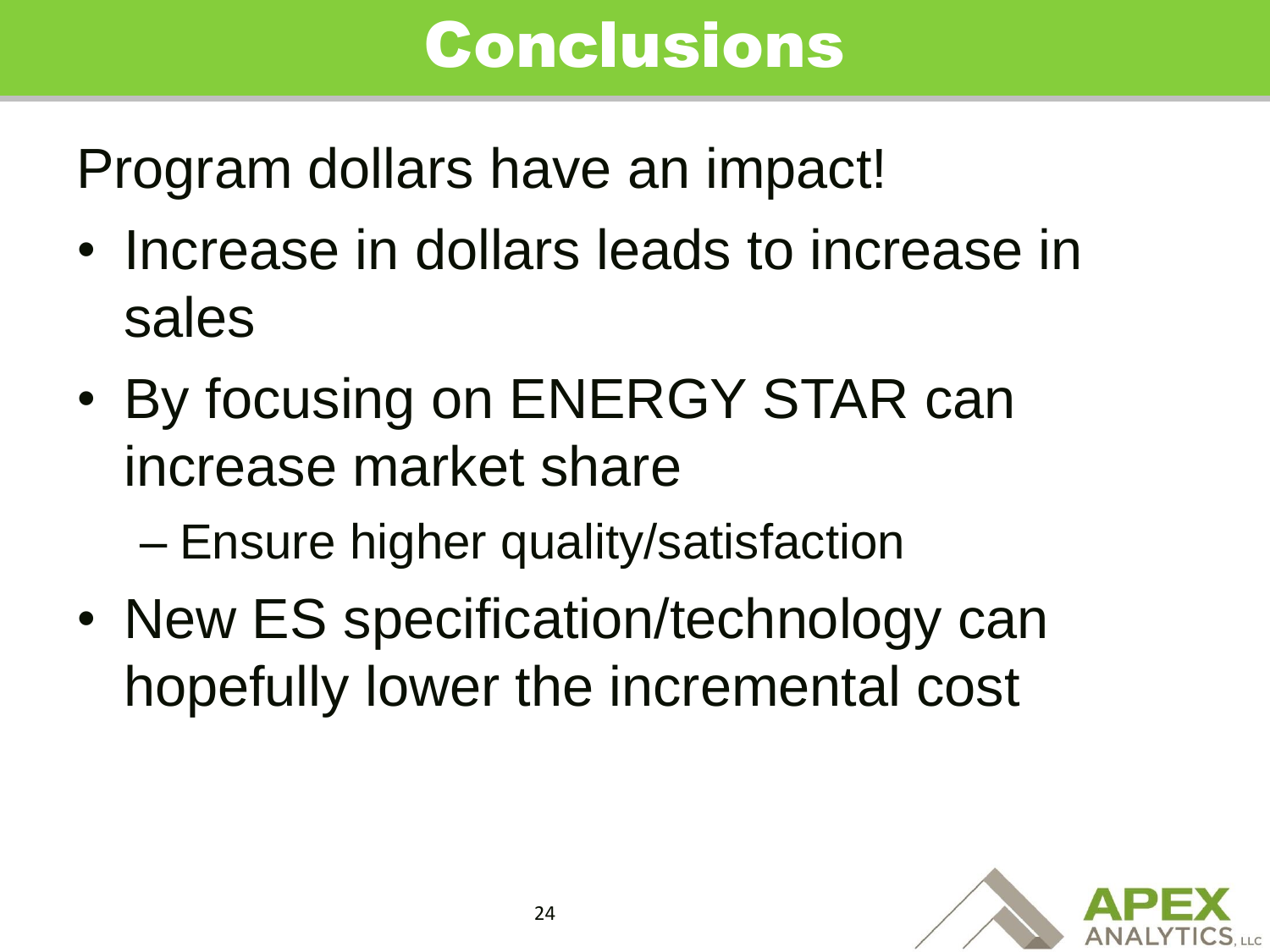#### Conclusions

Program dollars have an impact!

- Increase in dollars leads to increase in sales
- By focusing on ENERGY STAR can increase market share

– Ensure higher quality/satisfaction

• New ES specification/technology can hopefully lower the incremental cost